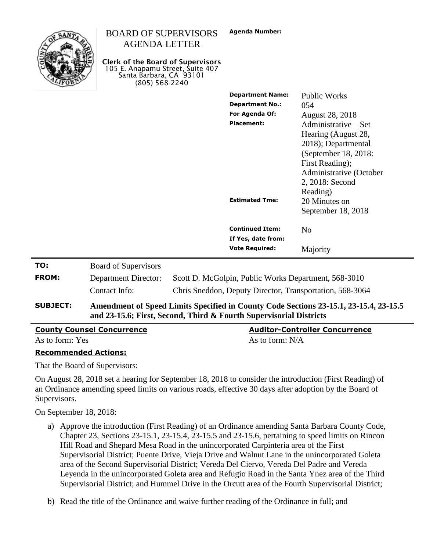

## BOARD OF SUPERVISORS AGENDA LETTER

**Clerk of the Board of Supervisors** 105 E. Anapamu Street, Suite 407 Santa Barbara, CA 93101 (805) 568-2240

| <b>Department Name:</b><br><b>Department No.:</b><br>For Agenda Of:<br><b>Placement:</b> | Public Works<br>054<br><b>August 28, 2018</b><br>Administrative – Set<br>Hearing (August 28,<br>2018); Departmental<br>(September 18, 2018:<br>First Reading);<br>Administrative (October<br>2, 2018: Second |
|------------------------------------------------------------------------------------------|--------------------------------------------------------------------------------------------------------------------------------------------------------------------------------------------------------------|
| <b>Estimated Tme:</b>                                                                    | Reading)<br>20 Minutes on<br>September 18, 2018                                                                                                                                                              |
| <b>Continued Item:</b><br>If Yes, date from:                                             | $\rm No$                                                                                                                                                                                                     |
| <b>Vote Required:</b>                                                                    | Majority                                                                                                                                                                                                     |

| <b>SUBJECT:</b> | Amendment of Speed Limits Specified in County Code Sections 23-15.1, 23-15.4, 23-15.5<br>and 23-15.6; First, Second, Third & Fourth Supervisorial Districts |                                                          |
|-----------------|-------------------------------------------------------------------------------------------------------------------------------------------------------------|----------------------------------------------------------|
|                 | Contact Info:                                                                                                                                               | Chris Sneddon, Deputy Director, Transportation, 568-3064 |
| <b>FROM:</b>    | <b>Department Director:</b>                                                                                                                                 | Scott D. McGolpin, Public Works Department, 568-3010     |
| TO:             | <b>Board of Supervisors</b>                                                                                                                                 |                                                          |

| <b>County Counsel Concurrence</b> | <b>Auditor-Controller Concurrence</b> |
|-----------------------------------|---------------------------------------|
| As to form: Yes                   | As to form: N/A                       |

#### **Recommended Actions:**

That the Board of Supervisors:

On August 28, 2018 set a hearing for September 18, 2018 to consider the introduction (First Reading) of an Ordinance amending speed limits on various roads, effective 30 days after adoption by the Board of Supervisors.

On September 18, 2018:

- a) Approve the introduction (First Reading) of an Ordinance amending Santa Barbara County Code, Chapter 23, Sections 23-15.1, 23-15.4, 23-15.5 and 23-15.6, pertaining to speed limits on Rincon Hill Road and Shepard Mesa Road in the unincorporated Carpinteria area of the First Supervisorial District; Puente Drive, Vieja Drive and Walnut Lane in the unincorporated Goleta area of the Second Supervisorial District; Vereda Del Ciervo, Vereda Del Padre and Vereda Leyenda in the unincorporated Goleta area and Refugio Road in the Santa Ynez area of the Third Supervisorial District; and Hummel Drive in the Orcutt area of the Fourth Supervisorial District;
- b) Read the title of the Ordinance and waive further reading of the Ordinance in full; and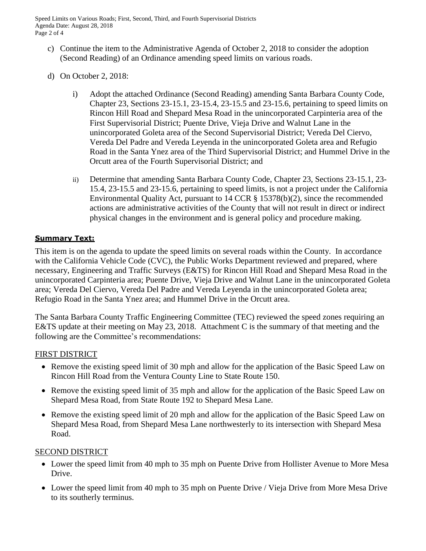Speed Limits on Various Roads; First, Second, Third, and Fourth Supervisorial Districts Agenda Date: August 28, 2018 Page 2 of 4

- c) Continue the item to the Administrative Agenda of October 2, 2018 to consider the adoption (Second Reading) of an Ordinance amending speed limits on various roads.
- d) On October 2, 2018:
	- i) Adopt the attached Ordinance (Second Reading) amending Santa Barbara County Code, Chapter 23, Sections 23-15.1, 23-15.4, 23-15.5 and 23-15.6, pertaining to speed limits on Rincon Hill Road and Shepard Mesa Road in the unincorporated Carpinteria area of the First Supervisorial District; Puente Drive, Vieja Drive and Walnut Lane in the unincorporated Goleta area of the Second Supervisorial District; Vereda Del Ciervo, Vereda Del Padre and Vereda Leyenda in the unincorporated Goleta area and Refugio Road in the Santa Ynez area of the Third Supervisorial District; and Hummel Drive in the Orcutt area of the Fourth Supervisorial District; and
	- ii) Determine that amending Santa Barbara County Code, Chapter 23, Sections 23-15.1, 23- 15.4, 23-15.5 and 23-15.6, pertaining to speed limits, is not a project under the California Environmental Quality Act, pursuant to 14 CCR § 15378(b)(2), since the recommended actions are administrative activities of the County that will not result in direct or indirect physical changes in the environment and is general policy and procedure making.

## **Summary Text:**

This item is on the agenda to update the speed limits on several roads within the County. In accordance with the California Vehicle Code (CVC), the Public Works Department reviewed and prepared, where necessary, Engineering and Traffic Surveys (E&TS) for Rincon Hill Road and Shepard Mesa Road in the unincorporated Carpinteria area; Puente Drive, Vieja Drive and Walnut Lane in the unincorporated Goleta area; Vereda Del Ciervo, Vereda Del Padre and Vereda Leyenda in the unincorporated Goleta area; Refugio Road in the Santa Ynez area; and Hummel Drive in the Orcutt area.

The Santa Barbara County Traffic Engineering Committee (TEC) reviewed the speed zones requiring an E&TS update at their meeting on May 23, 2018. Attachment C is the summary of that meeting and the following are the Committee's recommendations:

## FIRST DISTRICT

- Remove the existing speed limit of 30 mph and allow for the application of the Basic Speed Law on Rincon Hill Road from the Ventura County Line to State Route 150.
- Remove the existing speed limit of 35 mph and allow for the application of the Basic Speed Law on Shepard Mesa Road, from State Route 192 to Shepard Mesa Lane.
- Remove the existing speed limit of 20 mph and allow for the application of the Basic Speed Law on Shepard Mesa Road, from Shepard Mesa Lane northwesterly to its intersection with Shepard Mesa Road.

## SECOND DISTRICT

- Lower the speed limit from 40 mph to 35 mph on Puente Drive from Hollister Avenue to More Mesa Drive.
- Lower the speed limit from 40 mph to 35 mph on Puente Drive / Vieja Drive from More Mesa Drive to its southerly terminus.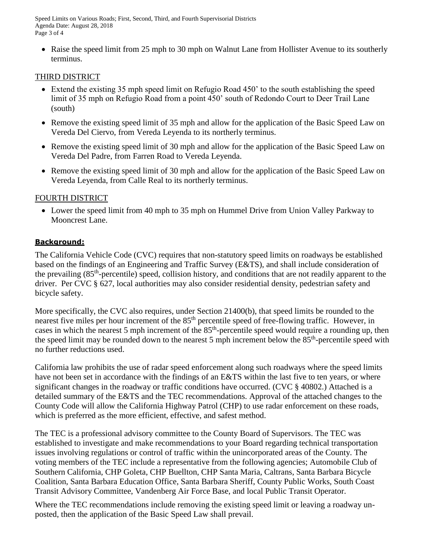Speed Limits on Various Roads; First, Second, Third, and Fourth Supervisorial Districts Agenda Date: August 28, 2018 Page 3 of 4

• Raise the speed limit from 25 mph to 30 mph on Walnut Lane from Hollister Avenue to its southerly terminus.

# THIRD DISTRICT

- Extend the existing 35 mph speed limit on Refugio Road 450' to the south establishing the speed limit of 35 mph on Refugio Road from a point 450' south of Redondo Court to Deer Trail Lane (south)
- Remove the existing speed limit of 35 mph and allow for the application of the Basic Speed Law on Vereda Del Ciervo, from Vereda Leyenda to its northerly terminus.
- Remove the existing speed limit of 30 mph and allow for the application of the Basic Speed Law on Vereda Del Padre, from Farren Road to Vereda Leyenda.
- Remove the existing speed limit of 30 mph and allow for the application of the Basic Speed Law on Vereda Leyenda, from Calle Real to its northerly terminus.

## FOURTH DISTRICT

 Lower the speed limit from 40 mph to 35 mph on Hummel Drive from Union Valley Parkway to Mooncrest Lane.

### **Background:**

The California Vehicle Code (CVC) requires that non-statutory speed limits on roadways be established based on the findings of an Engineering and Traffic Survey (E&TS), and shall include consideration of the prevailing (85<sup>th</sup>-percentile) speed, collision history, and conditions that are not readily apparent to the driver. Per CVC § 627, local authorities may also consider residential density, pedestrian safety and bicycle safety.

More specifically, the CVC also requires, under Section 21400(b), that speed limits be rounded to the nearest five miles per hour increment of the 85<sup>th</sup> percentile speed of free-flowing traffic. However, in cases in which the nearest 5 mph increment of the  $85<sup>th</sup>$ -percentile speed would require a rounding up, then the speed limit may be rounded down to the nearest 5 mph increment below the 85<sup>th</sup>-percentile speed with no further reductions used.

California law prohibits the use of radar speed enforcement along such roadways where the speed limits have not been set in accordance with the findings of an E&TS within the last five to ten years, or where significant changes in the roadway or traffic conditions have occurred. (CVC § 40802.) Attached is a detailed summary of the E&TS and the TEC recommendations. Approval of the attached changes to the County Code will allow the California Highway Patrol (CHP) to use radar enforcement on these roads, which is preferred as the more efficient, effective, and safest method.

The TEC is a professional advisory committee to the County Board of Supervisors. The TEC was established to investigate and make recommendations to your Board regarding technical transportation issues involving regulations or control of traffic within the unincorporated areas of the County. The voting members of the TEC include a representative from the following agencies; Automobile Club of Southern California, CHP Goleta, CHP Buellton, CHP Santa Maria, Caltrans, Santa Barbara Bicycle Coalition, Santa Barbara Education Office, Santa Barbara Sheriff, County Public Works, South Coast Transit Advisory Committee, Vandenberg Air Force Base, and local Public Transit Operator.

Where the TEC recommendations include removing the existing speed limit or leaving a roadway unposted, then the application of the Basic Speed Law shall prevail.